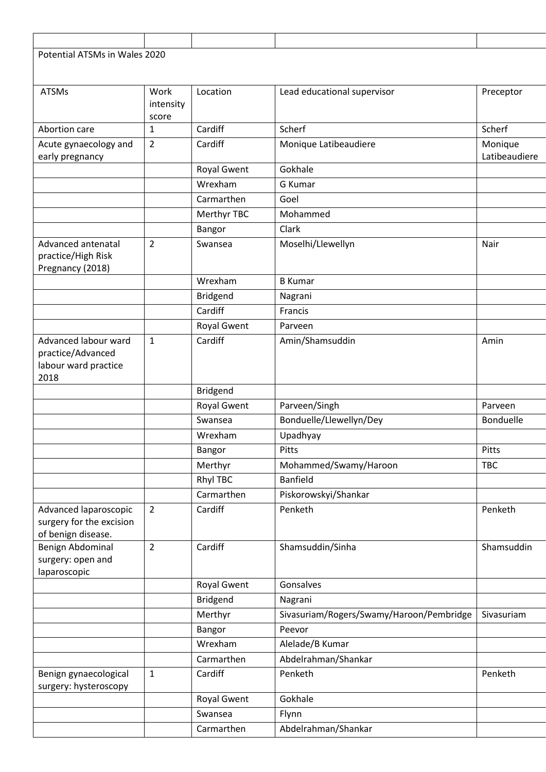| Potential ATSMs in Wales 2020                     |                |                            |                                                     |                          |
|---------------------------------------------------|----------------|----------------------------|-----------------------------------------------------|--------------------------|
|                                                   |                |                            |                                                     |                          |
| <b>ATSMs</b>                                      | Work           | Location                   | Lead educational supervisor                         | Preceptor                |
|                                                   | intensity      |                            |                                                     |                          |
|                                                   | score          |                            |                                                     |                          |
| Abortion care                                     | $\mathbf{1}$   | Cardiff                    | Scherf                                              | Scherf                   |
| Acute gynaecology and<br>early pregnancy          | $\overline{2}$ | Cardiff                    | Monique Latibeaudiere                               | Monique<br>Latibeaudiere |
|                                                   |                | <b>Royal Gwent</b>         | Gokhale                                             |                          |
|                                                   |                | Wrexham                    | G Kumar                                             |                          |
|                                                   |                | Carmarthen                 | Goel                                                |                          |
|                                                   |                | Merthyr TBC                | Mohammed                                            |                          |
|                                                   |                | Bangor                     | Clark                                               |                          |
| Advanced antenatal                                | $\overline{2}$ | Swansea                    | Moselhi/Llewellyn                                   | Nair                     |
| practice/High Risk                                |                |                            |                                                     |                          |
| Pregnancy (2018)                                  |                | Wrexham                    |                                                     |                          |
|                                                   |                |                            | <b>B</b> Kumar                                      |                          |
|                                                   |                | Bridgend<br>Cardiff        | Nagrani<br>Francis                                  |                          |
|                                                   |                | <b>Royal Gwent</b>         | Parveen                                             |                          |
| Advanced labour ward                              | $\mathbf{1}$   | Cardiff                    | Amin/Shamsuddin                                     | Amin                     |
| practice/Advanced                                 |                |                            |                                                     |                          |
| labour ward practice                              |                |                            |                                                     |                          |
| 2018                                              |                |                            |                                                     |                          |
|                                                   |                | <b>Bridgend</b>            |                                                     |                          |
|                                                   |                | <b>Royal Gwent</b>         | Parveen/Singh                                       | Parveen                  |
|                                                   |                | Swansea                    | Bonduelle/Llewellyn/Dey                             | <b>Bonduelle</b>         |
|                                                   |                | Wrexham                    | Upadhyay                                            |                          |
|                                                   |                | <b>Bangor</b>              | Pitts                                               | Pitts                    |
|                                                   |                | Merthyr                    | Mohammed/Swamy/Haroon                               | <b>TBC</b>               |
|                                                   |                | <b>Rhyl TBC</b>            | <b>Banfield</b>                                     |                          |
|                                                   |                | Carmarthen                 | Piskorowskyi/Shankar                                |                          |
| Advanced laparoscopic<br>surgery for the excision | $\overline{2}$ | Cardiff                    | Penketh                                             | Penketh                  |
| of benign disease.                                |                |                            |                                                     |                          |
| Benign Abdominal                                  | $\overline{2}$ | Cardiff                    | Shamsuddin/Sinha                                    | Shamsuddin               |
| surgery: open and                                 |                |                            |                                                     |                          |
| laparoscopic                                      |                |                            | Gonsalves                                           |                          |
|                                                   |                | Royal Gwent                |                                                     |                          |
|                                                   |                | <b>Bridgend</b><br>Merthyr | Nagrani<br>Sivasuriam/Rogers/Swamy/Haroon/Pembridge | Sivasuriam               |
|                                                   |                | Bangor                     | Peevor                                              |                          |
|                                                   |                | Wrexham                    | Alelade/B Kumar                                     |                          |
|                                                   |                | Carmarthen                 | Abdelrahman/Shankar                                 |                          |
| Benign gynaecological                             | $\mathbf{1}$   | Cardiff                    | Penketh                                             | Penketh                  |
| surgery: hysteroscopy                             |                |                            |                                                     |                          |
|                                                   |                | Royal Gwent                | Gokhale                                             |                          |
|                                                   |                | Swansea                    | Flynn                                               |                          |
|                                                   |                | Carmarthen                 | Abdelrahman/Shankar                                 |                          |
|                                                   |                |                            |                                                     |                          |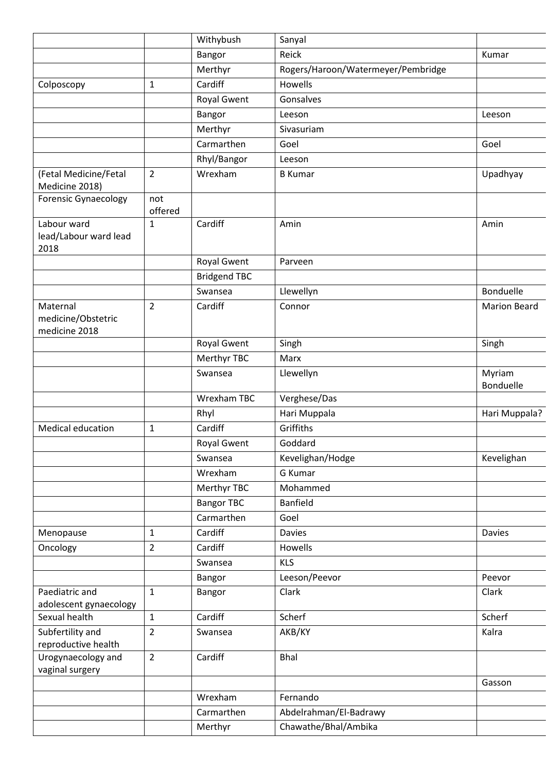|                                                 |                | Withybush           | Sanyal                             |                            |
|-------------------------------------------------|----------------|---------------------|------------------------------------|----------------------------|
|                                                 |                | Bangor              | Reick                              | Kumar                      |
|                                                 |                | Merthyr             | Rogers/Haroon/Watermeyer/Pembridge |                            |
| Colposcopy                                      | $\mathbf{1}$   | Cardiff             | Howells                            |                            |
|                                                 |                | <b>Royal Gwent</b>  | Gonsalves                          |                            |
|                                                 |                | Bangor              | Leeson                             | Leeson                     |
|                                                 |                | Merthyr             | Sivasuriam                         |                            |
|                                                 |                | Carmarthen          | Goel                               | Goel                       |
|                                                 |                | Rhyl/Bangor         | Leeson                             |                            |
| (Fetal Medicine/Fetal<br>Medicine 2018)         | $\overline{2}$ | Wrexham             | <b>B</b> Kumar                     | Upadhyay                   |
| <b>Forensic Gynaecology</b>                     | not<br>offered |                     |                                    |                            |
| Labour ward<br>lead/Labour ward lead<br>2018    | $\mathbf{1}$   | Cardiff             | Amin                               | Amin                       |
|                                                 |                | <b>Royal Gwent</b>  | Parveen                            |                            |
|                                                 |                | <b>Bridgend TBC</b> |                                    |                            |
|                                                 |                | Swansea             | Llewellyn                          | <b>Bonduelle</b>           |
| Maternal<br>medicine/Obstetric<br>medicine 2018 | $\overline{2}$ | Cardiff             | Connor                             | <b>Marion Beard</b>        |
|                                                 |                | Royal Gwent         | Singh                              | Singh                      |
|                                                 |                | Merthyr TBC         | Marx                               |                            |
|                                                 |                | Swansea             | Llewellyn                          | Myriam<br><b>Bonduelle</b> |
|                                                 |                | Wrexham TBC         | Verghese/Das                       |                            |
|                                                 |                | Rhyl                | Hari Muppala                       | Hari Muppala?              |
| Medical education                               | 1              | Cardiff             | Griffiths                          |                            |
|                                                 |                | Royal Gwent         | Goddard                            |                            |
|                                                 |                | Swansea             | Kevelighan/Hodge                   | Kevelighan                 |
|                                                 |                | Wrexham             | G Kumar                            |                            |
|                                                 |                | Merthyr TBC         | Mohammed                           |                            |
|                                                 |                | <b>Bangor TBC</b>   | <b>Banfield</b>                    |                            |
|                                                 |                | Carmarthen          | Goel                               |                            |
| Menopause                                       | $\mathbf{1}$   | Cardiff             | <b>Davies</b>                      | Davies                     |
| Oncology                                        | $\overline{2}$ | Cardiff             | Howells                            |                            |
|                                                 |                | Swansea             | <b>KLS</b>                         |                            |
|                                                 |                | Bangor              | Leeson/Peevor                      | Peevor                     |
| Paediatric and<br>adolescent gynaecology        | 1              | Bangor              | Clark                              | Clark                      |
| Sexual health                                   | $\mathbf{1}$   | Cardiff             | Scherf                             | Scherf                     |
| Subfertility and<br>reproductive health         | $\overline{2}$ | Swansea             | AKB/KY                             | Kalra                      |
| Urogynaecology and<br>vaginal surgery           | $\overline{2}$ | Cardiff             | <b>Bhal</b>                        |                            |
|                                                 |                |                     |                                    | Gasson                     |
|                                                 |                | Wrexham             | Fernando                           |                            |
|                                                 |                | Carmarthen          | Abdelrahman/El-Badrawy             |                            |
|                                                 |                | Merthyr             | Chawathe/Bhal/Ambika               |                            |